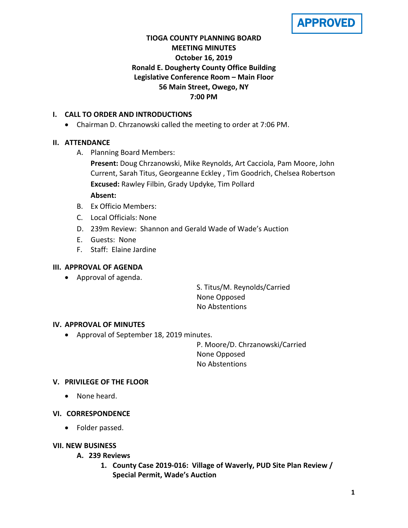APPROVED

# **TIOGA COUNTY PLANNING BOARD MEETING MINUTES October 16, 2019 Ronald E. Dougherty County Office Building Legislative Conference Room – Main Floor 56 Main Street, Owego, NY 7:00 PM**

# **I. CALL TO ORDER AND INTRODUCTIONS**

• Chairman D. Chrzanowski called the meeting to order at 7:06 PM.

# **II. ATTENDANCE**

A. Planning Board Members:

**Present:** Doug Chrzanowski, Mike Reynolds, Art Cacciola, Pam Moore, John Current, Sarah Titus, Georgeanne Eckley , Tim Goodrich, Chelsea Robertson **Excused:** Rawley Filbin, Grady Updyke, Tim Pollard

### **Absent:**

- B. Ex Officio Members:
- C. Local Officials: None
- D. 239m Review: Shannon and Gerald Wade of Wade's Auction
- E. Guests: None
- F. Staff: Elaine Jardine

### **III. APPROVAL OF AGENDA**

• Approval of agenda.

S. Titus/M. Reynolds/Carried None Opposed No Abstentions

### **IV. APPROVAL OF MINUTES**

• Approval of September 18, 2019 minutes.

P. Moore/D. Chrzanowski/Carried None Opposed No Abstentions

### **V. PRIVILEGE OF THE FLOOR**

• None heard.

### **VI. CORRESPONDENCE**

• Folder passed.

### **VII. NEW BUSINESS**

- **A. 239 Reviews**
	- **1. County Case 2019-016: Village of Waverly, PUD Site Plan Review / Special Permit, Wade's Auction**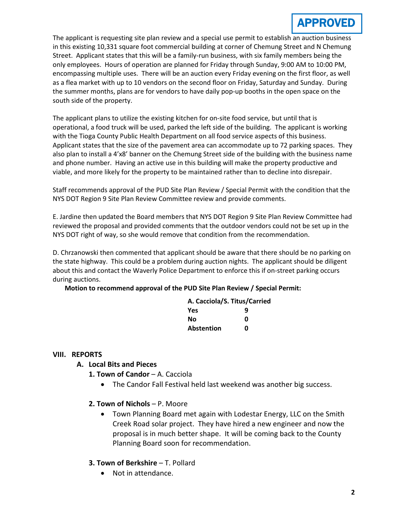

The applicant is requesting site plan review and a special use permit to establish an auction business in this existing 10,331 square foot commercial building at corner of Chemung Street and N Chemung Street. Applicant states that this will be a family-run business, with six family members being the only employees. Hours of operation are planned for Friday through Sunday, 9:00 AM to 10:00 PM, encompassing multiple uses. There will be an auction every Friday evening on the first floor, as well as a flea market with up to 10 vendors on the second floor on Friday, Saturday and Sunday. During the summer months, plans are for vendors to have daily pop-up booths in the open space on the south side of the property.

The applicant plans to utilize the existing kitchen for on-site food service, but until that is operational, a food truck will be used, parked the left side of the building. The applicant is working with the Tioga County Public Health Department on all food service aspects of this business. Applicant states that the size of the pavement area can accommodate up to 72 parking spaces. They also plan to install a 4'x8' banner on the Chemung Street side of the building with the business name and phone number. Having an active use in this building will make the property productive and viable, and more likely for the property to be maintained rather than to decline into disrepair.

Staff recommends approval of the PUD Site Plan Review / Special Permit with the condition that the NYS DOT Region 9 Site Plan Review Committee review and provide comments.

E. Jardine then updated the Board members that NYS DOT Region 9 Site Plan Review Committee had reviewed the proposal and provided comments that the outdoor vendors could not be set up in the NYS DOT right of way, so she would remove that condition from the recommendation.

D. Chrzanowski then commented that applicant should be aware that there should be no parking on the state highway. This could be a problem during auction nights. The applicant should be diligent about this and contact the Waverly Police Department to enforce this if on-street parking occurs during auctions.

**Motion to recommend approval of the PUD Site Plan Review / Special Permit:**

| A. Cacciola/S. Titus/Carried |   |
|------------------------------|---|
| Yes                          | q |
| Νo                           | ŋ |
| Abstention                   | ŋ |

#### **VIII. REPORTS**

#### **A. Local Bits and Pieces**

- 1. Town of Candor A. Cacciola
	- The Candor Fall Festival held last weekend was another big success.
- **2. Town of Nichols**  P. Moore
	- Town Planning Board met again with Lodestar Energy, LLC on the Smith Creek Road solar project. They have hired a new engineer and now the proposal is in much better shape. It will be coming back to the County Planning Board soon for recommendation.

#### **3. Town of Berkshire** – T. Pollard

• Not in attendance.